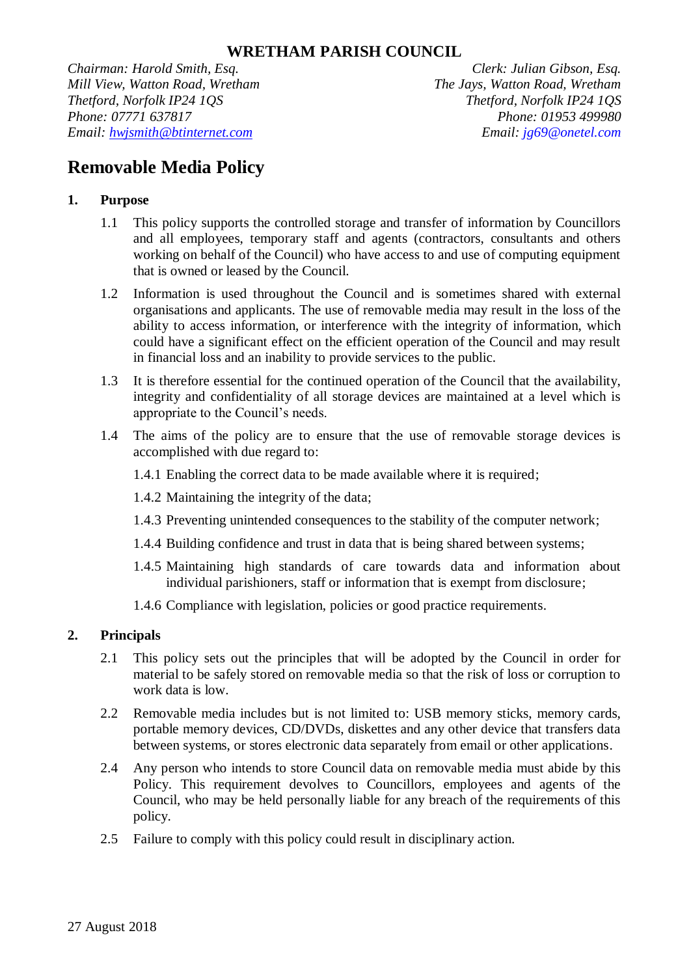*Chairman: Harold Smith, Esq. Clerk: Julian Gibson, Esq. Mill View, Watton Road, Wretham The Jays, Watton Road, Wretham Thetford, Norfolk IP24 1QS Thetford, Norfolk IP24 1QS Phone: 07771 637817 Phone: 01953 499980 Email: hwjsmith@btinternet.com Email: jg69@onetel.com*

# **Removable Media Policy**

# **1. Purpose**

- 1.1 This policy supports the controlled storage and transfer of information by Councillors and all employees, temporary staff and agents (contractors, consultants and others working on behalf of the Council) who have access to and use of computing equipment that is owned or leased by the Council.
- 1.2 Information is used throughout the Council and is sometimes shared with external organisations and applicants. The use of removable media may result in the loss of the ability to access information, or interference with the integrity of information, which could have a significant effect on the efficient operation of the Council and may result in financial loss and an inability to provide services to the public.
- 1.3 It is therefore essential for the continued operation of the Council that the availability, integrity and confidentiality of all storage devices are maintained at a level which is appropriate to the Council's needs.
- 1.4 The aims of the policy are to ensure that the use of removable storage devices is accomplished with due regard to:
	- 1.4.1 Enabling the correct data to be made available where it is required;
	- 1.4.2 Maintaining the integrity of the data;
	- 1.4.3 Preventing unintended consequences to the stability of the computer network;
	- 1.4.4 Building confidence and trust in data that is being shared between systems;
	- 1.4.5 Maintaining high standards of care towards data and information about individual parishioners, staff or information that is exempt from disclosure;
	- 1.4.6 Compliance with legislation, policies or good practice requirements.

## **2. Principals**

- 2.1 This policy sets out the principles that will be adopted by the Council in order for material to be safely stored on removable media so that the risk of loss or corruption to work data is low.
- 2.2 Removable media includes but is not limited to: USB memory sticks, memory cards, portable memory devices, CD/DVDs, diskettes and any other device that transfers data between systems, or stores electronic data separately from email or other applications.
- 2.4 Any person who intends to store Council data on removable media must abide by this Policy. This requirement devolves to Councillors, employees and agents of the Council, who may be held personally liable for any breach of the requirements of this policy.
- 2.5 Failure to comply with this policy could result in disciplinary action.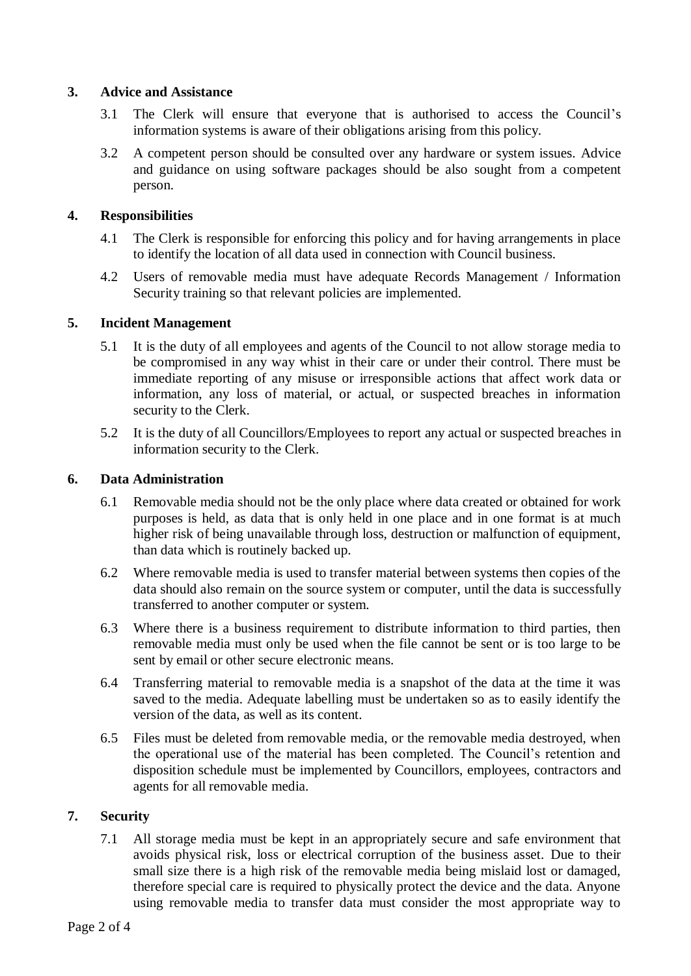## **3. Advice and Assistance**

- 3.1 The Clerk will ensure that everyone that is authorised to access the Council's information systems is aware of their obligations arising from this policy.
- 3.2 A competent person should be consulted over any hardware or system issues. Advice and guidance on using software packages should be also sought from a competent person.

## **4. Responsibilities**

- 4.1 The Clerk is responsible for enforcing this policy and for having arrangements in place to identify the location of all data used in connection with Council business.
- 4.2 Users of removable media must have adequate Records Management / Information Security training so that relevant policies are implemented.

## **5. Incident Management**

- 5.1 It is the duty of all employees and agents of the Council to not allow storage media to be compromised in any way whist in their care or under their control. There must be immediate reporting of any misuse or irresponsible actions that affect work data or information, any loss of material, or actual, or suspected breaches in information security to the Clerk.
- 5.2 It is the duty of all Councillors/Employees to report any actual or suspected breaches in information security to the Clerk.

## **6. Data Administration**

- 6.1 Removable media should not be the only place where data created or obtained for work purposes is held, as data that is only held in one place and in one format is at much higher risk of being unavailable through loss, destruction or malfunction of equipment, than data which is routinely backed up.
- 6.2 Where removable media is used to transfer material between systems then copies of the data should also remain on the source system or computer, until the data is successfully transferred to another computer or system.
- 6.3 Where there is a business requirement to distribute information to third parties, then removable media must only be used when the file cannot be sent or is too large to be sent by email or other secure electronic means.
- 6.4 Transferring material to removable media is a snapshot of the data at the time it was saved to the media. Adequate labelling must be undertaken so as to easily identify the version of the data, as well as its content.
- 6.5 Files must be deleted from removable media, or the removable media destroyed, when the operational use of the material has been completed. The Council's retention and disposition schedule must be implemented by Councillors, employees, contractors and agents for all removable media.

### **7. Security**

7.1 All storage media must be kept in an appropriately secure and safe environment that avoids physical risk, loss or electrical corruption of the business asset. Due to their small size there is a high risk of the removable media being mislaid lost or damaged, therefore special care is required to physically protect the device and the data. Anyone using removable media to transfer data must consider the most appropriate way to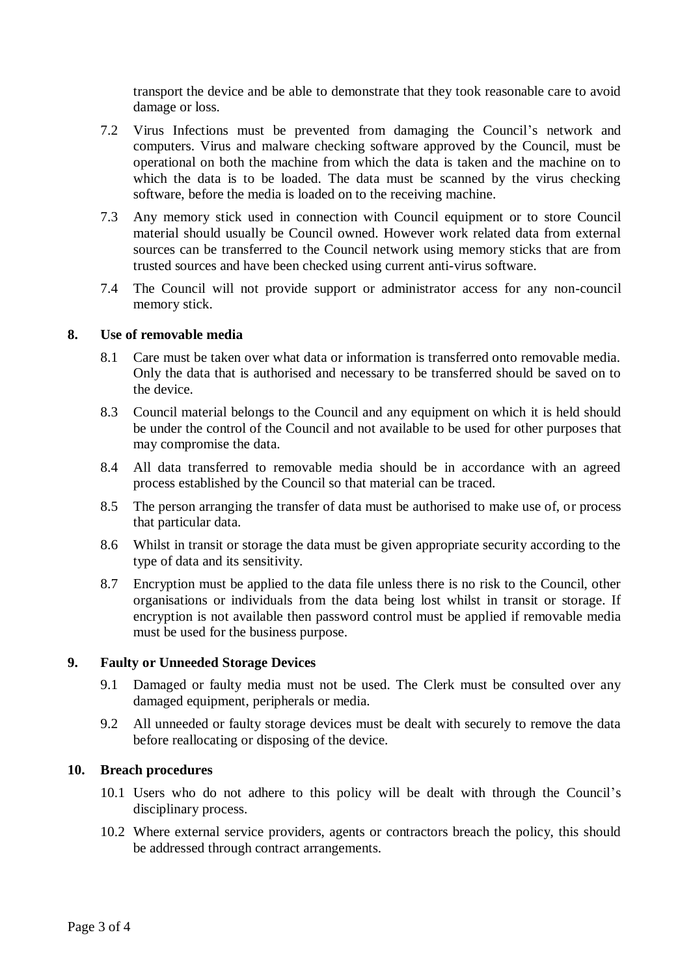transport the device and be able to demonstrate that they took reasonable care to avoid damage or loss.

- 7.2 Virus Infections must be prevented from damaging the Council's network and computers. Virus and malware checking software approved by the Council, must be operational on both the machine from which the data is taken and the machine on to which the data is to be loaded. The data must be scanned by the virus checking software, before the media is loaded on to the receiving machine.
- 7.3 Any memory stick used in connection with Council equipment or to store Council material should usually be Council owned. However work related data from external sources can be transferred to the Council network using memory sticks that are from trusted sources and have been checked using current anti-virus software.
- 7.4 The Council will not provide support or administrator access for any non-council memory stick.

### **8. Use of removable media**

- 8.1 Care must be taken over what data or information is transferred onto removable media. Only the data that is authorised and necessary to be transferred should be saved on to the device.
- 8.3 Council material belongs to the Council and any equipment on which it is held should be under the control of the Council and not available to be used for other purposes that may compromise the data.
- 8.4 All data transferred to removable media should be in accordance with an agreed process established by the Council so that material can be traced.
- 8.5 The person arranging the transfer of data must be authorised to make use of, or process that particular data.
- 8.6 Whilst in transit or storage the data must be given appropriate security according to the type of data and its sensitivity.
- 8.7 Encryption must be applied to the data file unless there is no risk to the Council, other organisations or individuals from the data being lost whilst in transit or storage. If encryption is not available then password control must be applied if removable media must be used for the business purpose.

#### **9. Faulty or Unneeded Storage Devices**

- 9.1 Damaged or faulty media must not be used. The Clerk must be consulted over any damaged equipment, peripherals or media.
- 9.2 All unneeded or faulty storage devices must be dealt with securely to remove the data before reallocating or disposing of the device.

#### **10. Breach procedures**

- 10.1 Users who do not adhere to this policy will be dealt with through the Council's disciplinary process.
- 10.2 Where external service providers, agents or contractors breach the policy, this should be addressed through contract arrangements.